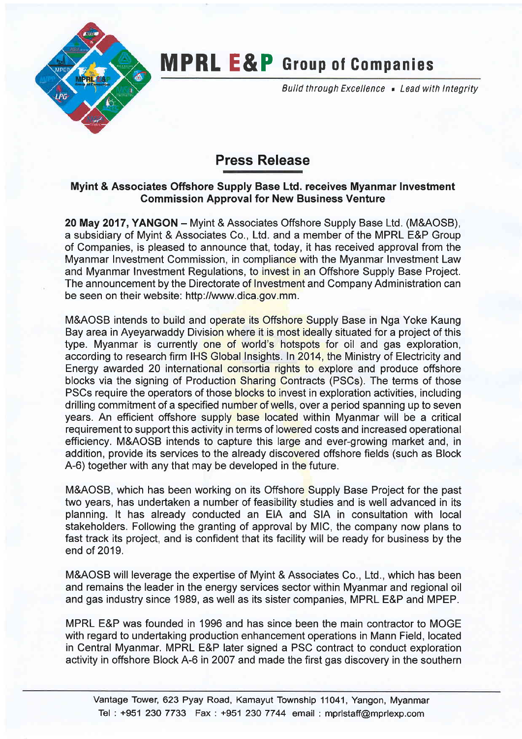

## **MPRL E&P** Group of Companies

Build through Excellence . Lead with Integrity

## Press Release

## Myint & Associates Offshore Supply Base Ltd. receives Myanmar Investment Gommission Approval for New Business Venture

20 May 2017, YANGON - Myint & Associates Offshore Supply Base Ltd. (M&AOSB), a subsidiary of Myint & Associates Co., Ltd. and a member of the MPRL E&P Group of Companies, is pleased to announce that, today, it has received approval from the Myanmar Investment Commission, in compliance with the Myanmar Investment Law and Myanmar Investment Regulations, to invest in an Offshore Supply Base Project. The announcement by the Directorate of Investment and Company Administration can be seen on their website: http://www.dica.gov.mm.

M&AOSB intends to build and operate its Offshore Supply Base in Nga Yoke Kaung Bay area in Ayeyarwaddy Division where it is most ideally situated for a project of this type. Myanmar is currently one of world's hotspots for oil and gas exploration, according to research firm IHS Global Insights. ln 2014, the Ministry of Electricity and Energy awarded 20 international consortia rights to explore and produce offshore blocks via the signing of Production Sharing Contracts (PSCs). The terms of those PSCs require the operators of those blocks to invest in exploration activities, including drilling commitment of a specified number of wells, over a period spanning up to seven years. An efficient offshore supply base located within Myanmar will be a critical requirement to support this activity in terms of lowered costs and increased operational efficiency. M&AOSB intends to capture this large and ever-growing market and, in addition, provide its services to the already discovered offshore fields (such as Block 4-6) together with any that may be developed in the future.

M&AOSB, which has been working on its Offshore Supply Base Project for the past two years, has undertaken a number of feasibility studies and is well advanced in its planning. lt has already conducted an EIA and SIA in consultation with local stakeholders. Following the granting of approval by MlC, the company now plans to fast track its project, and is confident that its facility will be ready for business by the end of 2019.

M&AOSB will leverage the expertise of Myint & Associates Co., Ltd., which has been and remains the leader in the energy services sector within Myanmar and regional oil and gas industry since 1989, as well as its sister companies, MPRL E&P and MPEP.

MPRL E&P was founded in 1996 and has since been the main contractor to MOGE with regard to undertaking production enhancement operations in Mann Field, located in Central Myanmar. MPRL E&P later signed a PSC contract to conduct exploration activity in offshore Block 4-6 in 2007 and made the first gas discovery in the southern